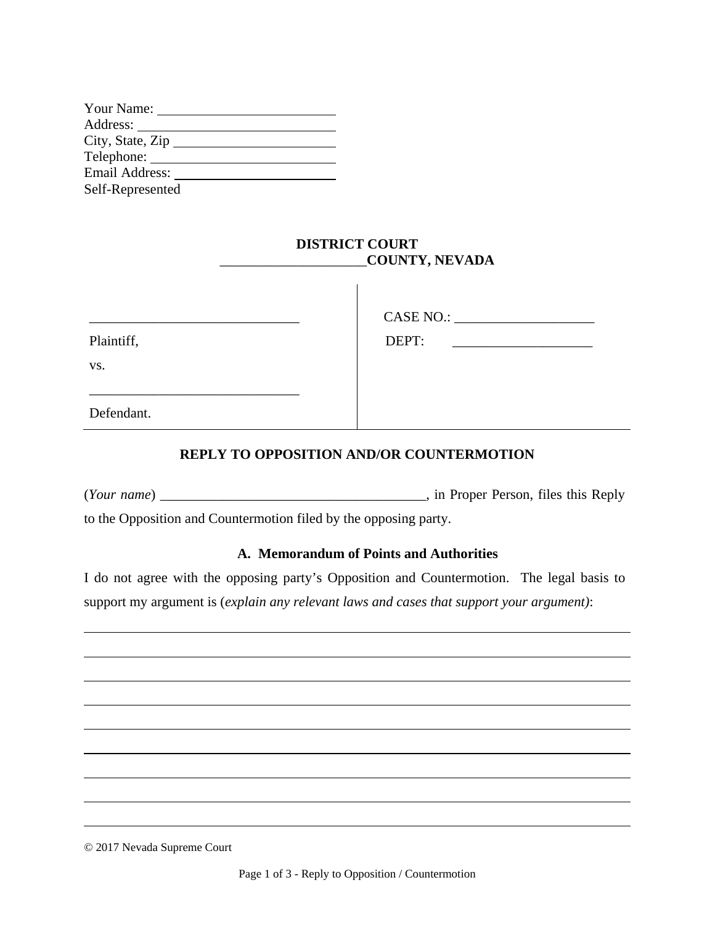| Your Name:                    |  |
|-------------------------------|--|
| Address:                      |  |
| City, State, $\overline{Zip}$ |  |
| Telephone:                    |  |
| Email Address:                |  |
| Self-Represented              |  |

### **DISTRICT COURT**  \_\_\_\_\_\_\_\_\_\_\_\_\_\_\_\_\_\_\_\_\_**COUNTY, NEVADA**

|            | CASE NO.:                                                                                                                     |
|------------|-------------------------------------------------------------------------------------------------------------------------------|
| Plaintiff, | DEPT:<br><u> 1980 - Jan Stein Stein Stein Stein Stein Stein Stein Stein Stein Stein Stein Stein Stein Stein Stein Stein S</u> |
| VS.        |                                                                                                                               |
|            |                                                                                                                               |
| Defendant. |                                                                                                                               |

## **REPLY TO OPPOSITION AND/OR COUNTERMOTION**

(*Your name*) \_\_\_\_\_\_\_\_\_\_\_\_\_\_\_\_\_\_\_\_\_\_\_\_\_\_\_\_\_\_\_\_\_\_\_\_\_\_, in Proper Person, files this Reply to the Opposition and Countermotion filed by the opposing party.

### **A. Memorandum of Points and Authorities**

I do not agree with the opposing party's Opposition and Countermotion. The legal basis to support my argument is (*explain any relevant laws and cases that support your argument)*:

© 2017 Nevada Supreme Court

 $\overline{a}$ 

 $\overline{a}$ 

 $\overline{a}$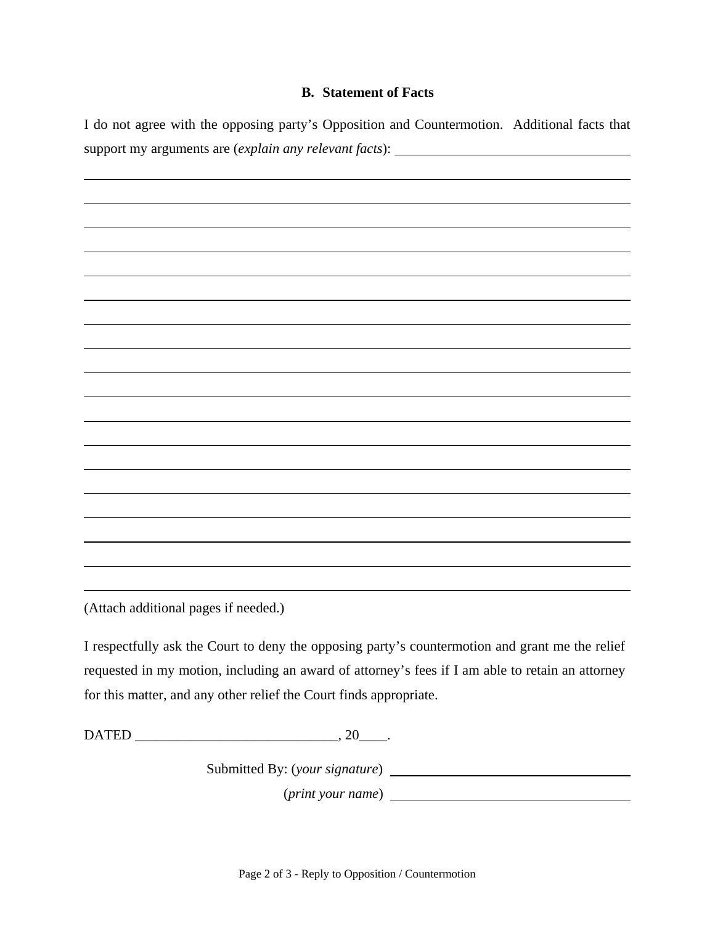### **B. Statement of Facts**

I do not agree with the opposing party's Opposition and Countermotion. Additional facts that support my arguments are (*explain any relevant facts*):

 $\overline{a}$ 

(Attach additional pages if needed.)

 $\overline{a}$ 

I respectfully ask the Court to deny the opposing party's countermotion and grant me the relief requested in my motion, including an award of attorney's fees if I am able to retain an attorney for this matter, and any other relief the Court finds appropriate.

DATED \_\_\_\_\_\_\_\_\_\_\_\_\_\_\_\_\_\_\_\_\_\_\_\_\_\_\_\_\_, 20\_\_\_\_.

Submitted By: (*your signature*)

(*print your name*)